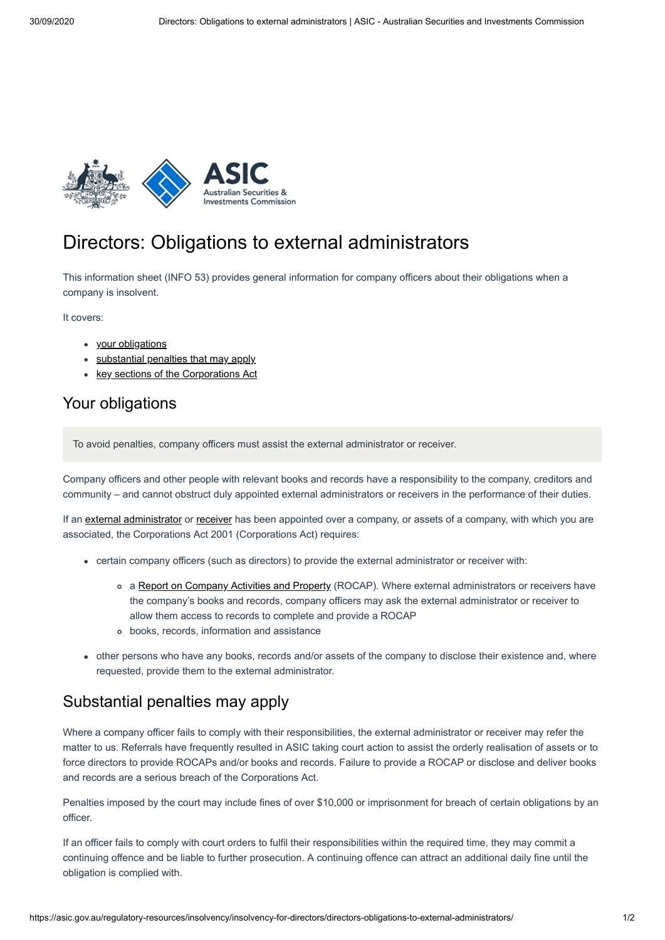

# Directors: Obligations to external administrators

This information sheet (INFO 53) provides general information for company officers about their obligations when a company is insolvent.

It covers:

- [your obligations](#page-0-0)
- [substantial penalties that may apply](#page-0-1)
- [key sections of the Corporations Act](#page-1-0)

### <span id="page-0-0"></span>Your obligations

To avoid penalties, company officers must assist the external administrator or receiver.

Company officers and other people with relevant books and records have a responsibility to the company, creditors and community – and cannot obstruct duly appointed external administrators or receivers in the performance of their duties.

If an **external administrator** or [receiver](https://asic.gov.au/regulatory-resources/insolvency/insolvency-information-for-directors-employees-creditors-and-shareholders/insolvency-a-glossary-of-terms/#receiver) has been appointed over a company, or assets of a company, with which you are associated, the Corporations Act 2001 (Corporations Act) requires:

- certain company officers (such as directors) to provide the external administrator or receiver with:
	- o a [Report on Company Activities and Property](https://asic.gov.au/for-finance-professionals/registered-liquidators/your-ongoing-obligations-as-a-registered-liquidator/report-on-company-activities-and-property-rocap/) (ROCAP). Where external administrators or receivers have the company's books and records, company officers may ask the external administrator or receiver to allow them access to records to complete and provide a ROCAP
	- books, records, information and assistance
- other persons who have any books, records and/or assets of the company to disclose their existence and, where requested, provide them to the external administrator.

### <span id="page-0-1"></span>Substantial penalties may apply

Where a company officer fails to comply with their responsibilities, the external administrator or receiver may refer the matter to us. Referrals have frequently resulted in ASIC taking court action to assist the orderly realisation of assets or to force directors to provide ROCAPs and/or books and records. Failure to provide a ROCAP or disclose and deliver books and records are a serious breach of the Corporations Act.

Penalties imposed by the court may include fines of over \$10,000 or imprisonment for breach of certain obligations by an officer.

If an officer fails to comply with court orders to fulfil their responsibilities within the required time, they may commit a continuing offence and be liable to further prosecution. A continuing offence can attract an additional daily fine until the obligation is complied with.